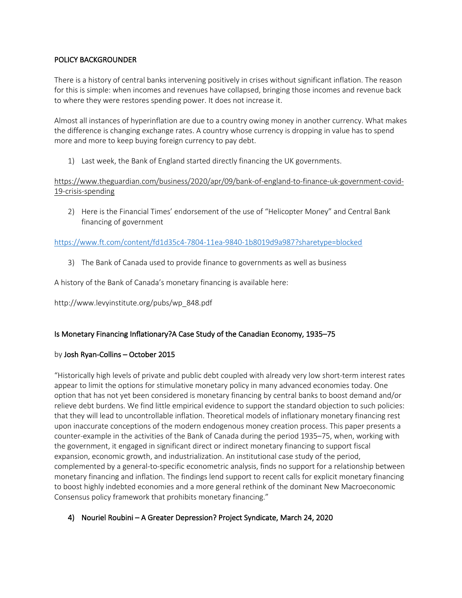### POLICY BACKGROUNDER

There is a history of central banks intervening positively in crises without significant inflation. The reason for this is simple: when incomes and revenues have collapsed, bringing those incomes and revenue back to where they were restores spending power. It does not increase it.

Almost all instances of hyperinflation are due to a country owing money in another currency. What makes the difference is changing exchange rates. A country whose currency is dropping in value has to spend more and more to keep buying foreign currency to pay debt.

1) Last week, the Bank of England started directly financing the UK governments.

### https://www.theguardian.com/business/2020/apr/09/bank-of-england-to-finance-uk-government-covid-19-crisis-spending

2) Here is the Financial Times' endorsement of the use of "Helicopter Money" and Central Bank financing of government

### https://www.ft.com/content/fd1d35c4-7804-11ea-9840-1b8019d9a987?sharetype=blocked

3) The Bank of Canada used to provide finance to governments as well as business

A history of the Bank of Canada's monetary financing is available here:

http://www.levyinstitute.org/pubs/wp\_848.pdf

## Is Monetary Financing Inflationary?A Case Study of the Canadian Economy, 1935–75

#### by Josh Ryan-Collins – October 2015

"Historically high levels of private and public debt coupled with already very low short-term interest rates appear to limit the options for stimulative monetary policy in many advanced economies today. One option that has not yet been considered is monetary financing by central banks to boost demand and/or relieve debt burdens. We find little empirical evidence to support the standard objection to such policies: that they will lead to uncontrollable inflation. Theoretical models of inflationary monetary financing rest upon inaccurate conceptions of the modern endogenous money creation process. This paper presents a counter-example in the activities of the Bank of Canada during the period 1935–75, when, working with the government, it engaged in significant direct or indirect monetary financing to support fiscal expansion, economic growth, and industrialization. An institutional case study of the period, complemented by a general-to-specific econometric analysis, finds no support for a relationship between monetary financing and inflation. The findings lend support to recent calls for explicit monetary financing to boost highly indebted economies and a more general rethink of the dominant New Macroeconomic Consensus policy framework that prohibits monetary financing."

## 4) Nouriel Roubini – A Greater Depression? Project Syndicate, March 24, 2020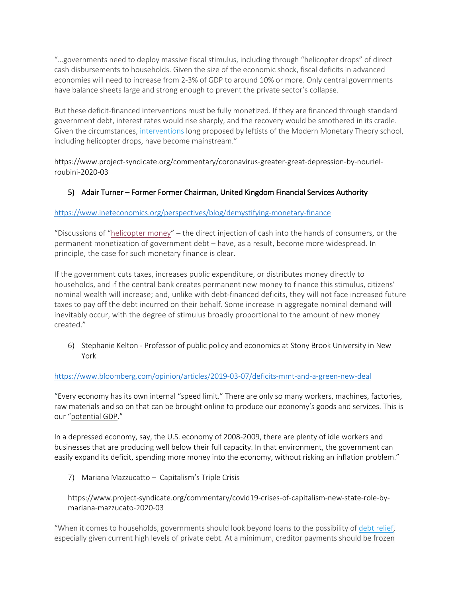"…governments need to deploy massive fiscal stimulus, including through "helicopter drops" of direct cash disbursements to households. Given the size of the economic shock, fiscal deficits in advanced economies will need to increase from 2-3% of GDP to around 10% or more. Only central governments have balance sheets large and strong enough to prevent the private sector's collapse.

But these deficit-financed interventions must be fully monetized. If they are financed through standard government debt, interest rates would rise sharply, and the recovery would be smothered in its cradle. Given the circumstances, interventions long proposed by leftists of the Modern Monetary Theory school, including helicopter drops, have become mainstream."

https://www.project-syndicate.org/commentary/coronavirus-greater-great-depression-by-nourielroubini-2020-03

# 5) Adair Turner – Former Former Chairman, United Kingdom Financial Services Authority

## https://www.ineteconomics.org/perspectives/blog/demystifying-monetary-finance

"Discussions of "helicopter money" – the direct injection of cash into the hands of consumers, or the permanent monetization of government debt – have, as a result, become more widespread. In principle, the case for such monetary finance is clear.

If the government cuts taxes, increases public expenditure, or distributes money directly to households, and if the central bank creates permanent new money to finance this stimulus, citizens' nominal wealth will increase; and, unlike with debt-financed deficits, they will not face increased future taxes to pay off the debt incurred on their behalf. Some increase in aggregate nominal demand will inevitably occur, with the degree of stimulus broadly proportional to the amount of new money created."

6) Stephanie Kelton - Professor of public policy and economics at Stony Brook University in New York

#### https://www.bloomberg.com/opinion/articles/2019-03-07/deficits-mmt-and-a-green-new-deal

"Every economy has its own internal "speed limit." There are only so many workers, machines, factories, raw materials and so on that can be brought online to produce our economy's goods and services. This is our "potential GDP."

In a depressed economy, say, the U.S. economy of 2008-2009, there are plenty of idle workers and businesses that are producing well below their full capacity. In that environment, the government can easily expand its deficit, spending more money into the economy, without risking an inflation problem."

7) Mariana Mazzucatto – Capitalism's Triple Crisis

## https://www.project-syndicate.org/commentary/covid19-crises-of-capitalism-new-state-role-bymariana-mazzucato-2020-03

"When it comes to households, governments should look beyond loans to the possibility of debt relief, especially given current high levels of private debt. At a minimum, creditor payments should be frozen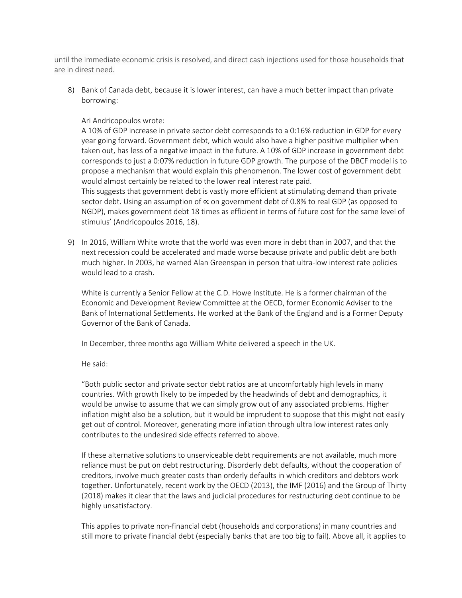until the immediate economic crisis is resolved, and direct cash injections used for those households that are in direst need.

8) Bank of Canada debt, because it is lower interest, can have a much better impact than private borrowing:

#### Ari Andricopoulos wrote:

A 10% of GDP increase in private sector debt corresponds to a 0:16% reduction in GDP for every year going forward. Government debt, which would also have a higher positive multiplier when taken out, has less of a negative impact in the future. A 10% of GDP increase in government debt corresponds to just a 0:07% reduction in future GDP growth. The purpose of the DBCF model is to propose a mechanism that would explain this phenomenon. The lower cost of government debt would almost certainly be related to the lower real interest rate paid.

This suggests that government debt is vastly more efficient at stimulating demand than private sector debt. Using an assumption of ∝ on government debt of 0.8% to real GDP (as opposed to NGDP), makes government debt 18 times as efficient in terms of future cost for the same level of stimulus' (Andricopoulos 2016, 18).

9) In 2016, William White wrote that the world was even more in debt than in 2007, and that the next recession could be accelerated and made worse because private and public debt are both much higher. In 2003, he warned Alan Greenspan in person that ultra-low interest rate policies would lead to a crash.

White is currently a Senior Fellow at the C.D. Howe Institute. He is a former chairman of the Economic and Development Review Committee at the OECD, former Economic Adviser to the Bank of International Settlements. He worked at the Bank of the England and is a Former Deputy Governor of the Bank of Canada.

In December, three months ago William White delivered a speech in the UK.

He said:

"Both public sector and private sector debt ratios are at uncomfortably high levels in many countries. With growth likely to be impeded by the headwinds of debt and demographics, it would be unwise to assume that we can simply grow out of any associated problems. Higher inflation might also be a solution, but it would be imprudent to suppose that this might not easily get out of control. Moreover, generating more inflation through ultra low interest rates only contributes to the undesired side effects referred to above.

If these alternative solutions to unserviceable debt requirements are not available, much more reliance must be put on debt restructuring. Disorderly debt defaults, without the cooperation of creditors, involve much greater costs than orderly defaults in which creditors and debtors work together. Unfortunately, recent work by the OECD (2013), the IMF (2016) and the Group of Thirty (2018) makes it clear that the laws and judicial procedures for restructuring debt continue to be highly unsatisfactory.

This applies to private non-financial debt (households and corporations) in many countries and still more to private financial debt (especially banks that are too big to fail). Above all, it applies to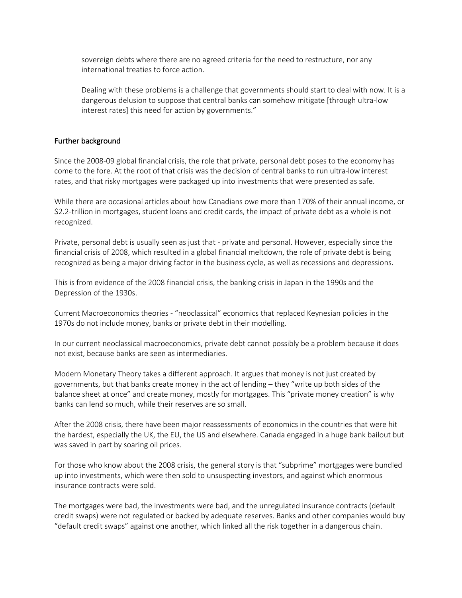sovereign debts where there are no agreed criteria for the need to restructure, nor any international treaties to force action.

Dealing with these problems is a challenge that governments should start to deal with now. It is a dangerous delusion to suppose that central banks can somehow mitigate [through ultra-low interest rates] this need for action by governments."

#### Further background

Since the 2008-09 global financial crisis, the role that private, personal debt poses to the economy has come to the fore. At the root of that crisis was the decision of central banks to run ultra-low interest rates, and that risky mortgages were packaged up into investments that were presented as safe.

While there are occasional articles about how Canadians owe more than 170% of their annual income, or \$2.2-trillion in mortgages, student loans and credit cards, the impact of private debt as a whole is not recognized.

Private, personal debt is usually seen as just that - private and personal. However, especially since the financial crisis of 2008, which resulted in a global financial meltdown, the role of private debt is being recognized as being a major driving factor in the business cycle, as well as recessions and depressions.

This is from evidence of the 2008 financial crisis, the banking crisis in Japan in the 1990s and the Depression of the 1930s.

Current Macroeconomics theories - "neoclassical" economics that replaced Keynesian policies in the 1970s do not include money, banks or private debt in their modelling.

In our current neoclassical macroeconomics, private debt cannot possibly be a problem because it does not exist, because banks are seen as intermediaries.

Modern Monetary Theory takes a different approach. It argues that money is not just created by governments, but that banks create money in the act of lending – they "write up both sides of the balance sheet at once" and create money, mostly for mortgages. This "private money creation" is why banks can lend so much, while their reserves are so small.

After the 2008 crisis, there have been major reassessments of economics in the countries that were hit the hardest, especially the UK, the EU, the US and elsewhere. Canada engaged in a huge bank bailout but was saved in part by soaring oil prices.

For those who know about the 2008 crisis, the general story is that "subprime" mortgages were bundled up into investments, which were then sold to unsuspecting investors, and against which enormous insurance contracts were sold.

The mortgages were bad, the investments were bad, and the unregulated insurance contracts (default credit swaps) were not regulated or backed by adequate reserves. Banks and other companies would buy "default credit swaps" against one another, which linked all the risk together in a dangerous chain.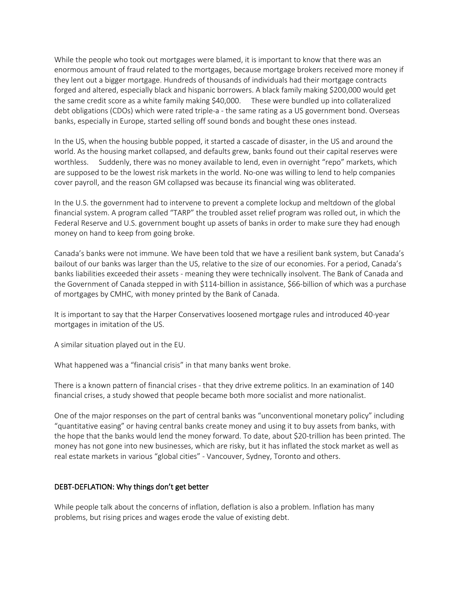While the people who took out mortgages were blamed, it is important to know that there was an enormous amount of fraud related to the mortgages, because mortgage brokers received more money if they lent out a bigger mortgage. Hundreds of thousands of individuals had their mortgage contracts forged and altered, especially black and hispanic borrowers. A black family making \$200,000 would get the same credit score as a white family making \$40,000. These were bundled up into collateralized debt obligations (CDOs) which were rated triple-a - the same rating as a US government bond. Overseas banks, especially in Europe, started selling off sound bonds and bought these ones instead.

In the US, when the housing bubble popped, it started a cascade of disaster, in the US and around the world. As the housing market collapsed, and defaults grew, banks found out their capital reserves were worthless. Suddenly, there was no money available to lend, even in overnight "repo" markets, which are supposed to be the lowest risk markets in the world. No-one was willing to lend to help companies cover payroll, and the reason GM collapsed was because its financial wing was obliterated.

In the U.S. the government had to intervene to prevent a complete lockup and meltdown of the global financial system. A program called "TARP" the troubled asset relief program was rolled out, in which the Federal Reserve and U.S. government bought up assets of banks in order to make sure they had enough money on hand to keep from going broke.

Canada's banks were not immune. We have been told that we have a resilient bank system, but Canada's bailout of our banks was larger than the US, relative to the size of our economies. For a period, Canada's banks liabilities exceeded their assets - meaning they were technically insolvent. The Bank of Canada and the Government of Canada stepped in with \$114-billion in assistance, \$66-billion of which was a purchase of mortgages by CMHC, with money printed by the Bank of Canada.

It is important to say that the Harper Conservatives loosened mortgage rules and introduced 40-year mortgages in imitation of the US.

A similar situation played out in the EU.

What happened was a "financial crisis" in that many banks went broke.

There is a known pattern of financial crises - that they drive extreme politics. In an examination of 140 financial crises, a study showed that people became both more socialist and more nationalist.

One of the major responses on the part of central banks was "unconventional monetary policy" including "quantitative easing" or having central banks create money and using it to buy assets from banks, with the hope that the banks would lend the money forward. To date, about \$20-trillion has been printed. The money has not gone into new businesses, which are risky, but it has inflated the stock market as well as real estate markets in various "global cities" - Vancouver, Sydney, Toronto and others.

#### DEBT-DEFLATION: Why things don't get better

While people talk about the concerns of inflation, deflation is also a problem. Inflation has many problems, but rising prices and wages erode the value of existing debt.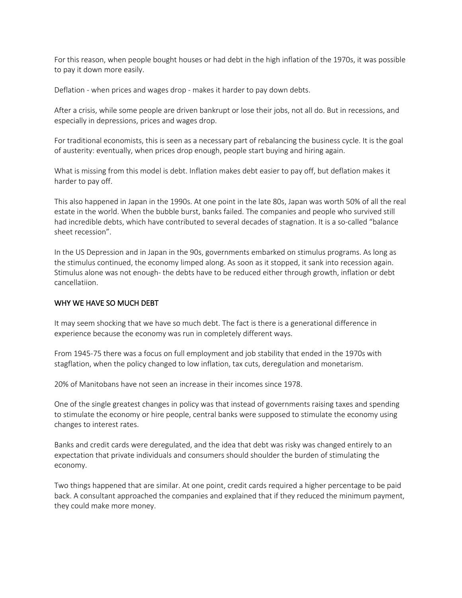For this reason, when people bought houses or had debt in the high inflation of the 1970s, it was possible to pay it down more easily.

Deflation - when prices and wages drop - makes it harder to pay down debts.

After a crisis, while some people are driven bankrupt or lose their jobs, not all do. But in recessions, and especially in depressions, prices and wages drop.

For traditional economists, this is seen as a necessary part of rebalancing the business cycle. It is the goal of austerity: eventually, when prices drop enough, people start buying and hiring again.

What is missing from this model is debt. Inflation makes debt easier to pay off, but deflation makes it harder to pay off.

This also happened in Japan in the 1990s. At one point in the late 80s, Japan was worth 50% of all the real estate in the world. When the bubble burst, banks failed. The companies and people who survived still had incredible debts, which have contributed to several decades of stagnation. It is a so-called "balance sheet recession".

In the US Depression and in Japan in the 90s, governments embarked on stimulus programs. As long as the stimulus continued, the economy limped along. As soon as it stopped, it sank into recession again. Stimulus alone was not enough- the debts have to be reduced either through growth, inflation or debt cancellatiion.

#### WHY WE HAVE SO MUCH DEBT

It may seem shocking that we have so much debt. The fact is there is a generational difference in experience because the economy was run in completely different ways.

From 1945-75 there was a focus on full employment and job stability that ended in the 1970s with stagflation, when the policy changed to low inflation, tax cuts, deregulation and monetarism.

20% of Manitobans have not seen an increase in their incomes since 1978.

One of the single greatest changes in policy was that instead of governments raising taxes and spending to stimulate the economy or hire people, central banks were supposed to stimulate the economy using changes to interest rates.

Banks and credit cards were deregulated, and the idea that debt was risky was changed entirely to an expectation that private individuals and consumers should shoulder the burden of stimulating the economy.

Two things happened that are similar. At one point, credit cards required a higher percentage to be paid back. A consultant approached the companies and explained that if they reduced the minimum payment, they could make more money.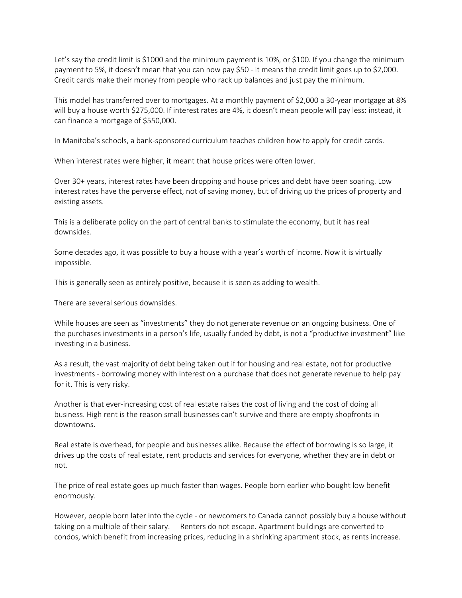Let's say the credit limit is \$1000 and the minimum payment is 10%, or \$100. If you change the minimum payment to 5%, it doesn't mean that you can now pay \$50 - it means the credit limit goes up to \$2,000. Credit cards make their money from people who rack up balances and just pay the minimum.

This model has transferred over to mortgages. At a monthly payment of \$2,000 a 30-year mortgage at 8% will buy a house worth \$275,000. If interest rates are 4%, it doesn't mean people will pay less: instead, it can finance a mortgage of \$550,000.

In Manitoba's schools, a bank-sponsored curriculum teaches children how to apply for credit cards.

When interest rates were higher, it meant that house prices were often lower.

Over 30+ years, interest rates have been dropping and house prices and debt have been soaring. Low interest rates have the perverse effect, not of saving money, but of driving up the prices of property and existing assets.

This is a deliberate policy on the part of central banks to stimulate the economy, but it has real downsides.

Some decades ago, it was possible to buy a house with a year's worth of income. Now it is virtually impossible.

This is generally seen as entirely positive, because it is seen as adding to wealth.

There are several serious downsides.

While houses are seen as "investments" they do not generate revenue on an ongoing business. One of the purchases investments in a person's life, usually funded by debt, is not a "productive investment" like investing in a business.

As a result, the vast majority of debt being taken out if for housing and real estate, not for productive investments - borrowing money with interest on a purchase that does not generate revenue to help pay for it. This is very risky.

Another is that ever-increasing cost of real estate raises the cost of living and the cost of doing all business. High rent is the reason small businesses can't survive and there are empty shopfronts in downtowns.

Real estate is overhead, for people and businesses alike. Because the effect of borrowing is so large, it drives up the costs of real estate, rent products and services for everyone, whether they are in debt or not.

The price of real estate goes up much faster than wages. People born earlier who bought low benefit enormously.

However, people born later into the cycle - or newcomers to Canada cannot possibly buy a house without taking on a multiple of their salary. Renters do not escape. Apartment buildings are converted to condos, which benefit from increasing prices, reducing in a shrinking apartment stock, as rents increase.